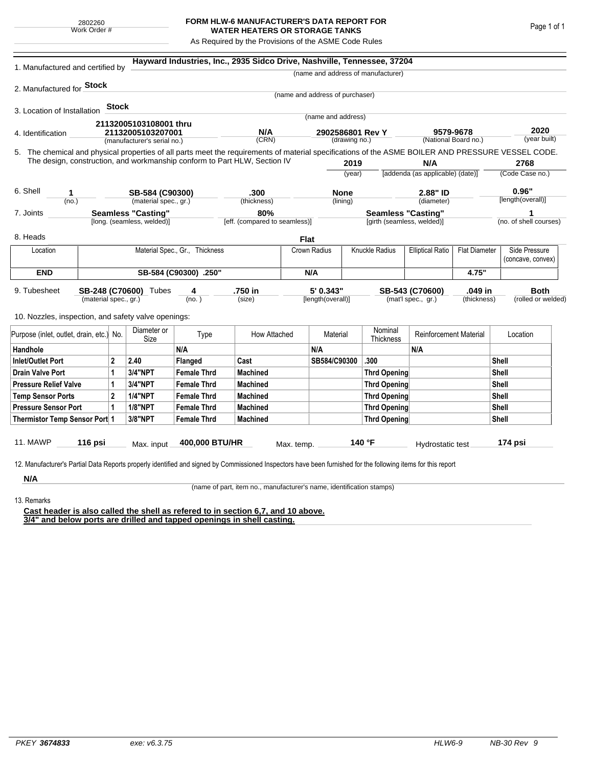## **FORM HLW-6 MANUFACTURER'S DATA REPORT FOR WATER HEATERS OR STORAGE TANKS**

As Required by the Provisions of the ASME Code Rules

| 1. Manufactured and certified by                                                                                                                              |                                          |              |                                                         |                                | Hayward Industries, Inc., 2935 Sidco Drive, Nashville, Tennessee, 37204   |                                      |                                   |              |                                                         |                                  |                                   |                    |                        |  |
|---------------------------------------------------------------------------------------------------------------------------------------------------------------|------------------------------------------|--------------|---------------------------------------------------------|--------------------------------|---------------------------------------------------------------------------|--------------------------------------|-----------------------------------|--------------|---------------------------------------------------------|----------------------------------|-----------------------------------|--------------------|------------------------|--|
|                                                                                                                                                               |                                          |              |                                                         |                                |                                                                           |                                      |                                   |              | (name and address of manufacturer)                      |                                  |                                   |                    |                        |  |
| 2. Manufactured for <b>Stock</b>                                                                                                                              |                                          |              |                                                         |                                |                                                                           |                                      |                                   |              |                                                         |                                  |                                   |                    |                        |  |
|                                                                                                                                                               |                                          |              |                                                         |                                |                                                                           |                                      | (name and address of purchaser)   |              |                                                         |                                  |                                   |                    |                        |  |
| 3. Location of Installation                                                                                                                                   |                                          | <b>Stock</b> |                                                         |                                |                                                                           |                                      | (name and address)                |              |                                                         |                                  |                                   |                    |                        |  |
|                                                                                                                                                               |                                          |              | 21132005103108001 thru                                  |                                |                                                                           |                                      |                                   |              |                                                         |                                  |                                   |                    |                        |  |
| 4. Identification                                                                                                                                             |                                          |              | 21132005103207001                                       |                                | N/A<br>(CRN)                                                              |                                      | 2902586801 Rev Y<br>(drawing no.) |              |                                                         |                                  | 9579-9678<br>(National Board no.) |                    | 2020<br>(year built)   |  |
|                                                                                                                                                               |                                          |              | (manufacturer's serial no.)                             |                                |                                                                           |                                      |                                   |              |                                                         |                                  |                                   |                    |                        |  |
| 5. The chemical and physical properties of all parts meet the requirements of material specifications of the ASME BOILER AND PRESSURE VESSEL CODE.            |                                          |              |                                                         |                                | The design, construction, and workmanship conform to Part HLW, Section IV |                                      |                                   | 2019         |                                                         | N/A                              |                                   |                    | 2768                   |  |
|                                                                                                                                                               |                                          |              |                                                         |                                |                                                                           |                                      |                                   | (year)       |                                                         | [addenda (as applicable) (date)] |                                   | (Code Case no.)    |                        |  |
|                                                                                                                                                               |                                          |              |                                                         |                                |                                                                           |                                      |                                   |              |                                                         |                                  |                                   |                    |                        |  |
| 6. Shell<br>1                                                                                                                                                 |                                          |              | SB-584 (C90300)                                         |                                | .300                                                                      |                                      | <b>None</b>                       |              | 2.88" ID                                                |                                  |                                   | 0.96"              |                        |  |
| (no.)                                                                                                                                                         |                                          |              | (material spec., gr.)                                   |                                | (thickness)                                                               |                                      |                                   | (lining)     |                                                         | (diameter)                       |                                   |                    | [length(overall)]      |  |
| 7. Joints                                                                                                                                                     |                                          |              | <b>Seamless "Casting"</b><br>[long. (seamless, welded)] |                                |                                                                           | 80%<br>[eff. (compared to seamless)] |                                   |              | <b>Seamless "Casting"</b><br>[girth (seamless, welded)] |                                  |                                   |                    | (no. of shell courses) |  |
|                                                                                                                                                               |                                          |              |                                                         |                                |                                                                           |                                      |                                   |              |                                                         |                                  |                                   |                    |                        |  |
| 8. Heads                                                                                                                                                      |                                          |              |                                                         |                                |                                                                           | <b>Flat</b>                          |                                   |              |                                                         |                                  |                                   |                    |                        |  |
| Location                                                                                                                                                      |                                          |              |                                                         | Material Spec., Gr., Thickness |                                                                           |                                      | Crown Radius                      |              | Knuckle Radius                                          | <b>Elliptical Ratio</b>          | <b>Flat Diameter</b>              |                    | Side Pressure          |  |
|                                                                                                                                                               |                                          |              |                                                         |                                |                                                                           |                                      |                                   |              |                                                         |                                  |                                   |                    | (concave, convex)      |  |
| <b>END</b>                                                                                                                                                    | SB-584 (C90300) .250"                    |              |                                                         |                                |                                                                           |                                      | N/A                               |              |                                                         |                                  | 4.75"                             |                    |                        |  |
| 9. Tubesheet                                                                                                                                                  |                                          |              | SB-248 (C70600) Tubes                                   | 4                              | .750 in                                                                   |                                      | 5' 0.343"                         |              |                                                         | SB-543 (C70600)                  | .049 in                           |                    | <b>Both</b>            |  |
| (material spec., gr.)                                                                                                                                         |                                          |              |                                                         | (no. )                         | (size)                                                                    |                                      | [length(overall)]                 |              | (mat'l spec., gr.)<br>(thickness)                       |                                  |                                   | (rolled or welded) |                        |  |
| 10. Nozzles, inspection, and safety valve openings:                                                                                                           |                                          |              |                                                         |                                |                                                                           |                                      |                                   |              |                                                         |                                  |                                   |                    |                        |  |
|                                                                                                                                                               |                                          |              |                                                         |                                |                                                                           |                                      |                                   |              |                                                         |                                  |                                   |                    |                        |  |
|                                                                                                                                                               | Purpose (inlet, outlet, drain, etc.) No. |              | Diameter or<br>Size                                     | Type                           | How Attached                                                              |                                      | Material                          |              | Nominal<br>Thickness                                    | <b>Reinforcement Material</b>    |                                   |                    | Location               |  |
| Handhole                                                                                                                                                      |                                          |              |                                                         | N/A                            |                                                                           |                                      | N/A                               |              |                                                         | N/A                              |                                   |                    |                        |  |
| <b>Inlet/Outlet Port</b><br>$\mathbf{2}$                                                                                                                      |                                          |              | 2.40                                                    | Flanged                        | Cast                                                                      |                                      | SB584/C90300                      |              | .300                                                    |                                  |                                   | Shell              |                        |  |
| <b>Drain Valve Port</b><br>1                                                                                                                                  |                                          |              | 3/4"NPT                                                 | <b>Female Thrd</b>             | <b>Machined</b>                                                           |                                      |                                   |              | <b>Thrd Opening</b>                                     |                                  |                                   | Shell              |                        |  |
| <b>Pressure Relief Valve</b><br>1                                                                                                                             |                                          |              | 3/4"NPT                                                 | <b>Female Thrd</b>             | <b>Machined</b>                                                           |                                      |                                   |              | <b>Thrd Opening</b>                                     |                                  |                                   | Shell              |                        |  |
| $\overline{2}$<br><b>Temp Sensor Ports</b>                                                                                                                    |                                          |              | <b>1/4"NPT</b>                                          | <b>Female Thrd</b>             | <b>Machined</b>                                                           |                                      |                                   |              | <b>Thrd Opening</b>                                     |                                  |                                   | Shell              |                        |  |
| <b>Pressure Sensor Port</b><br>1                                                                                                                              |                                          |              | <b>1/8"NPT</b>                                          | <b>Female Thrd</b>             | <b>Machined</b>                                                           |                                      |                                   | Thrd Opening |                                                         |                                  |                                   |                    | Shell                  |  |
| Thermistor Temp Sensor Port 1                                                                                                                                 |                                          |              | 3/8"NPT                                                 | <b>Female Thrd</b>             | <b>Machined</b>                                                           |                                      |                                   |              |                                                         | Thrd Opening                     |                                   |                    | Shell                  |  |
|                                                                                                                                                               |                                          |              |                                                         |                                |                                                                           |                                      |                                   |              |                                                         |                                  |                                   |                    |                        |  |
| 11. MAWP                                                                                                                                                      | 116 psi                                  |              | Max. input                                              | 400,000 BTU/HR                 |                                                                           | Max. temp.                           |                                   |              | 140 °F                                                  | Hydrostatic test                 |                                   |                    | 174 psi                |  |
| 12. Manufacturer's Partial Data Reports properly identified and signed by Commissioned Inspectors have been furnished for the following items for this report |                                          |              |                                                         |                                |                                                                           |                                      |                                   |              |                                                         |                                  |                                   |                    |                        |  |
|                                                                                                                                                               |                                          |              |                                                         |                                |                                                                           |                                      |                                   |              |                                                         |                                  |                                   |                    |                        |  |
| N/A                                                                                                                                                           |                                          |              |                                                         |                                |                                                                           |                                      |                                   |              |                                                         |                                  |                                   |                    |                        |  |

(name of part, item no., manufacturer's name, identification stamps)

13. Remarks

**Cast header is also called the shell as refered to in section 6,7, and 10 above. 3/4" and below ports are drilled and tapped openings in shell casting.**